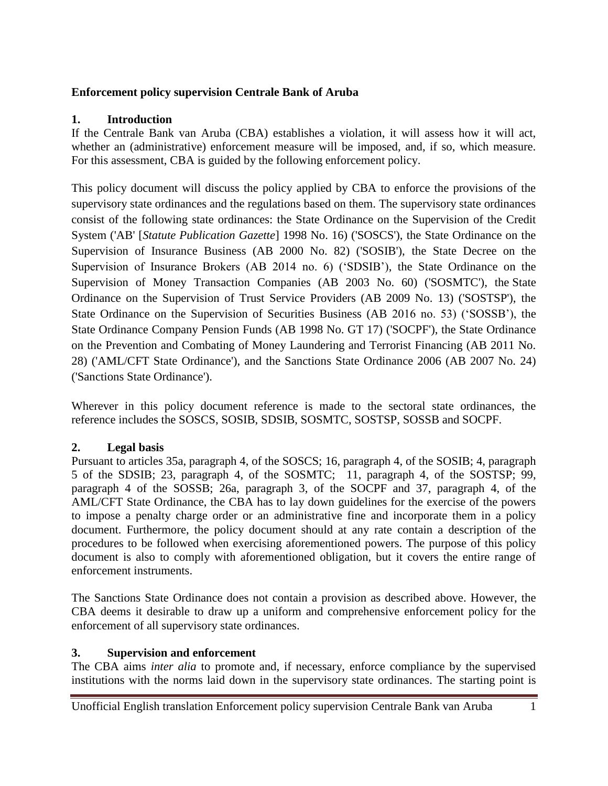#### **Enforcement policy supervision Centrale Bank of Aruba**

#### **1. Introduction**

If the Centrale Bank van Aruba (CBA) establishes a violation, it will assess how it will act, whether an (administrative) enforcement measure will be imposed, and, if so, which measure. For this assessment, CBA is guided by the following enforcement policy.

This policy document will discuss the policy applied by CBA to enforce the provisions of the supervisory state ordinances and the regulations based on them. The supervisory state ordinances consist of the following state ordinances: the State Ordinance on the Supervision of the Credit System ('AB' [*Statute Publication Gazette*] 1998 No. 16) ('SOSCS'), the State Ordinance on the Supervision of Insurance Business (AB 2000 No. 82) ('SOSIB'), the State Decree on the Supervision of Insurance Brokers (AB 2014 no. 6) ('SDSIB'), the State Ordinance on the Supervision of Money Transaction Companies (AB 2003 No. 60) ('SOSMTC'), the State Ordinance on the Supervision of Trust Service Providers (AB 2009 No. 13) ('SOSTSP'), the State Ordinance on the Supervision of Securities Business (AB 2016 no. 53) ('SOSSB'), the State Ordinance Company Pension Funds (AB 1998 No. GT 17) ('SOCPF'), the State Ordinance on the Prevention and Combating of Money Laundering and Terrorist Financing (AB 2011 No. 28) ('AML/CFT State Ordinance'), and the Sanctions State Ordinance 2006 (AB 2007 No. 24) ('Sanctions State Ordinance').

Wherever in this policy document reference is made to the sectoral state ordinances, the reference includes the SOSCS, SOSIB, SDSIB, SOSMTC, SOSTSP, SOSSB and SOCPF.

# **2. Legal basis**

Pursuant to articles 35a, paragraph 4, of the SOSCS; 16, paragraph 4, of the SOSIB; 4, paragraph 5 of the SDSIB; 23, paragraph 4, of the SOSMTC; 11, paragraph 4, of the SOSTSP; 99, paragraph 4 of the SOSSB; 26a, paragraph 3, of the SOCPF and 37, paragraph 4, of the AML/CFT State Ordinance, the CBA has to lay down guidelines for the exercise of the powers to impose a penalty charge order or an administrative fine and incorporate them in a policy document. Furthermore, the policy document should at any rate contain a description of the procedures to be followed when exercising aforementioned powers. The purpose of this policy document is also to comply with aforementioned obligation, but it covers the entire range of enforcement instruments.

The Sanctions State Ordinance does not contain a provision as described above. However, the CBA deems it desirable to draw up a uniform and comprehensive enforcement policy for the enforcement of all supervisory state ordinances.

#### **3. Supervision and enforcement**

The CBA aims *inter alia* to promote and, if necessary, enforce compliance by the supervised institutions with the norms laid down in the supervisory state ordinances. The starting point is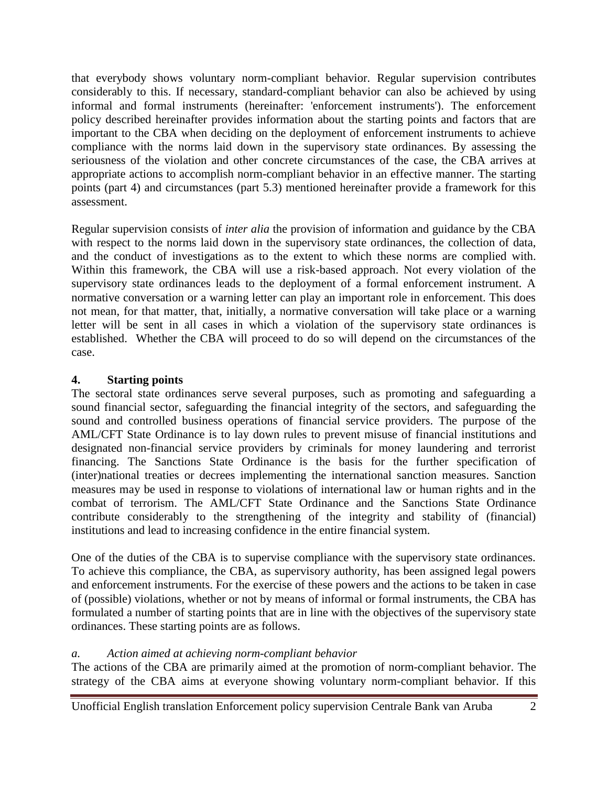that everybody shows voluntary norm-compliant behavior. Regular supervision contributes considerably to this. If necessary, standard-compliant behavior can also be achieved by using informal and formal instruments (hereinafter: 'enforcement instruments'). The enforcement policy described hereinafter provides information about the starting points and factors that are important to the CBA when deciding on the deployment of enforcement instruments to achieve compliance with the norms laid down in the supervisory state ordinances. By assessing the seriousness of the violation and other concrete circumstances of the case, the CBA arrives at appropriate actions to accomplish norm-compliant behavior in an effective manner. The starting points (part 4) and circumstances (part 5.3) mentioned hereinafter provide a framework for this assessment.

Regular supervision consists of *inter alia* the provision of information and guidance by the CBA with respect to the norms laid down in the supervisory state ordinances, the collection of data, and the conduct of investigations as to the extent to which these norms are complied with. Within this framework, the CBA will use a risk-based approach. Not every violation of the supervisory state ordinances leads to the deployment of a formal enforcement instrument. A normative conversation or a warning letter can play an important role in enforcement. This does not mean, for that matter, that, initially, a normative conversation will take place or a warning letter will be sent in all cases in which a violation of the supervisory state ordinances is established. Whether the CBA will proceed to do so will depend on the circumstances of the case.

#### **4. Starting points**

The sectoral state ordinances serve several purposes, such as promoting and safeguarding a sound financial sector, safeguarding the financial integrity of the sectors, and safeguarding the sound and controlled business operations of financial service providers. The purpose of the AML/CFT State Ordinance is to lay down rules to prevent misuse of financial institutions and designated non-financial service providers by criminals for money laundering and terrorist financing. The Sanctions State Ordinance is the basis for the further specification of (inter)national treaties or decrees implementing the international sanction measures. Sanction measures may be used in response to violations of international law or human rights and in the combat of terrorism. The AML/CFT State Ordinance and the Sanctions State Ordinance contribute considerably to the strengthening of the integrity and stability of (financial) institutions and lead to increasing confidence in the entire financial system.

One of the duties of the CBA is to supervise compliance with the supervisory state ordinances. To achieve this compliance, the CBA, as supervisory authority, has been assigned legal powers and enforcement instruments. For the exercise of these powers and the actions to be taken in case of (possible) violations, whether or not by means of informal or formal instruments, the CBA has formulated a number of starting points that are in line with the objectives of the supervisory state ordinances. These starting points are as follows.

# *a. Action aimed at achieving norm-compliant behavior*

The actions of the CBA are primarily aimed at the promotion of norm-compliant behavior. The strategy of the CBA aims at everyone showing voluntary norm-compliant behavior. If this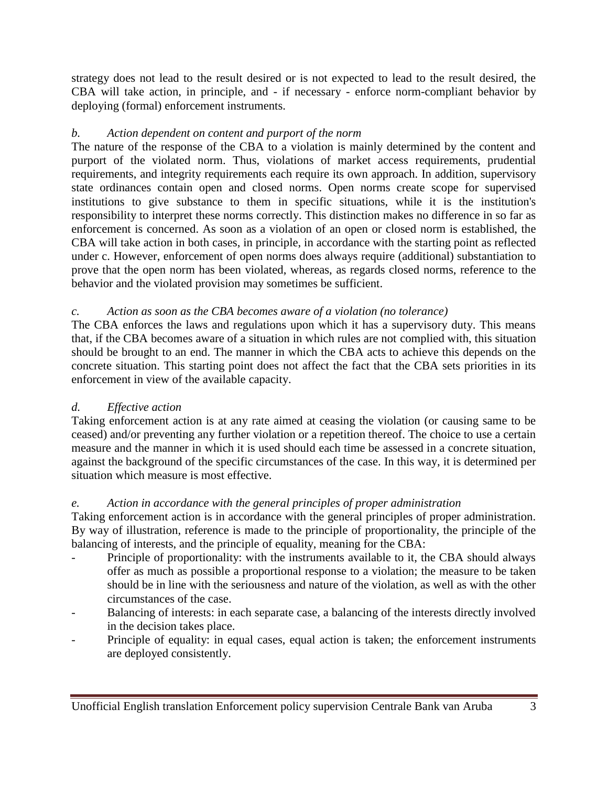strategy does not lead to the result desired or is not expected to lead to the result desired, the CBA will take action, in principle, and - if necessary - enforce norm-compliant behavior by deploying (formal) enforcement instruments.

#### *b. Action dependent on content and purport of the norm*

The nature of the response of the CBA to a violation is mainly determined by the content and purport of the violated norm. Thus, violations of market access requirements, prudential requirements, and integrity requirements each require its own approach. In addition, supervisory state ordinances contain open and closed norms. Open norms create scope for supervised institutions to give substance to them in specific situations, while it is the institution's responsibility to interpret these norms correctly. This distinction makes no difference in so far as enforcement is concerned. As soon as a violation of an open or closed norm is established, the CBA will take action in both cases, in principle, in accordance with the starting point as reflected under c. However, enforcement of open norms does always require (additional) substantiation to prove that the open norm has been violated, whereas, as regards closed norms, reference to the behavior and the violated provision may sometimes be sufficient.

#### *c. Action as soon as the CBA becomes aware of a violation (no tolerance)*

The CBA enforces the laws and regulations upon which it has a supervisory duty. This means that, if the CBA becomes aware of a situation in which rules are not complied with, this situation should be brought to an end. The manner in which the CBA acts to achieve this depends on the concrete situation. This starting point does not affect the fact that the CBA sets priorities in its enforcement in view of the available capacity.

# *d. Effective action*

Taking enforcement action is at any rate aimed at ceasing the violation (or causing same to be ceased) and/or preventing any further violation or a repetition thereof. The choice to use a certain measure and the manner in which it is used should each time be assessed in a concrete situation, against the background of the specific circumstances of the case. In this way, it is determined per situation which measure is most effective.

#### *e. Action in accordance with the general principles of proper administration*

Taking enforcement action is in accordance with the general principles of proper administration. By way of illustration, reference is made to the principle of proportionality, the principle of the balancing of interests, and the principle of equality, meaning for the CBA:

- Principle of proportionality: with the instruments available to it, the CBA should always offer as much as possible a proportional response to a violation; the measure to be taken should be in line with the seriousness and nature of the violation, as well as with the other circumstances of the case.
- Balancing of interests: in each separate case, a balancing of the interests directly involved in the decision takes place.
- Principle of equality: in equal cases, equal action is taken; the enforcement instruments are deployed consistently.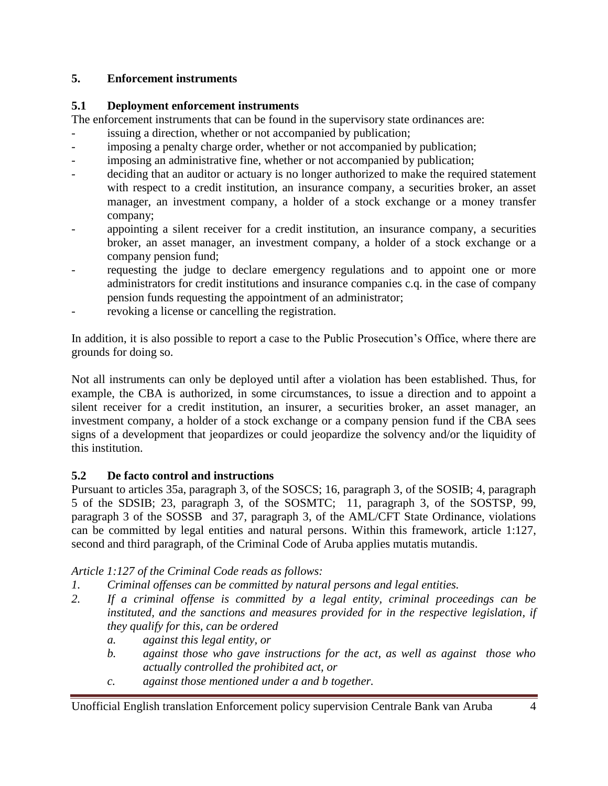# **5. Enforcement instruments**

#### **5.1 Deployment enforcement instruments**

The enforcement instruments that can be found in the supervisory state ordinances are:

- issuing a direction, whether or not accompanied by publication;
- imposing a penalty charge order, whether or not accompanied by publication;
- imposing an administrative fine, whether or not accompanied by publication;
- deciding that an auditor or actuary is no longer authorized to make the required statement with respect to a credit institution, an insurance company, a securities broker, an asset manager, an investment company, a holder of a stock exchange or a money transfer company;
- appointing a silent receiver for a credit institution, an insurance company, a securities broker, an asset manager, an investment company, a holder of a stock exchange or a company pension fund;
- requesting the judge to declare emergency regulations and to appoint one or more administrators for credit institutions and insurance companies c.q. in the case of company pension funds requesting the appointment of an administrator;
- revoking a license or cancelling the registration.

In addition, it is also possible to report a case to the Public Prosecution's Office, where there are grounds for doing so.

Not all instruments can only be deployed until after a violation has been established. Thus, for example, the CBA is authorized, in some circumstances, to issue a direction and to appoint a silent receiver for a credit institution, an insurer, a securities broker, an asset manager, an investment company, a holder of a stock exchange or a company pension fund if the CBA sees signs of a development that jeopardizes or could jeopardize the solvency and/or the liquidity of this institution.

# **5.2 De facto control and instructions**

Pursuant to articles 35a, paragraph 3, of the SOSCS; 16, paragraph 3, of the SOSIB; 4, paragraph 5 of the SDSIB; 23, paragraph 3, of the SOSMTC; 11, paragraph 3, of the SOSTSP, 99, paragraph 3 of the SOSSB and 37, paragraph 3, of the AML/CFT State Ordinance, violations can be committed by legal entities and natural persons. Within this framework, article 1:127, second and third paragraph, of the Criminal Code of Aruba applies mutatis mutandis.

# *Article 1:127 of the Criminal Code reads as follows:*

- *1. Criminal offenses can be committed by natural persons and legal entities.*
- *2. If a criminal offense is committed by a legal entity, criminal proceedings can be instituted, and the sanctions and measures provided for in the respective legislation, if they qualify for this, can be ordered*
	- *a. against this legal entity, or*
	- *b. against those who gave instructions for the act, as well as against those who actually controlled the prohibited act, or*
	- *c. against those mentioned under a and b together.*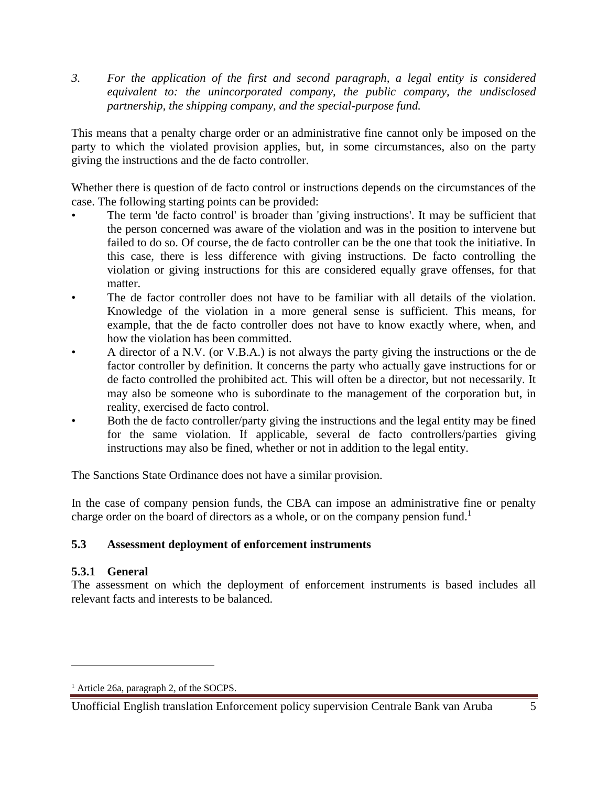*3. For the application of the first and second paragraph, a legal entity is considered equivalent to: the unincorporated company, the public company, the undisclosed partnership, the shipping company, and the special-purpose fund.* 

This means that a penalty charge order or an administrative fine cannot only be imposed on the party to which the violated provision applies, but, in some circumstances, also on the party giving the instructions and the de facto controller.

Whether there is question of de facto control or instructions depends on the circumstances of the case. The following starting points can be provided:

- The term 'de facto control' is broader than 'giving instructions'. It may be sufficient that the person concerned was aware of the violation and was in the position to intervene but failed to do so. Of course, the de facto controller can be the one that took the initiative. In this case, there is less difference with giving instructions. De facto controlling the violation or giving instructions for this are considered equally grave offenses, for that matter.
- The de factor controller does not have to be familiar with all details of the violation. Knowledge of the violation in a more general sense is sufficient. This means, for example, that the de facto controller does not have to know exactly where, when, and how the violation has been committed.
- A director of a N.V. (or V.B.A.) is not always the party giving the instructions or the de factor controller by definition. It concerns the party who actually gave instructions for or de facto controlled the prohibited act. This will often be a director, but not necessarily. It may also be someone who is subordinate to the management of the corporation but, in reality, exercised de facto control.
- Both the de facto controller/party giving the instructions and the legal entity may be fined for the same violation. If applicable, several de facto controllers/parties giving instructions may also be fined, whether or not in addition to the legal entity.

The Sanctions State Ordinance does not have a similar provision.

In the case of company pension funds, the CBA can impose an administrative fine or penalty charge order on the board of directors as a whole, or on the company pension fund.<sup>1</sup>

# **5.3 Assessment deployment of enforcement instruments**

# **5.3.1 General**

 $\overline{\phantom{a}}$ 

The assessment on which the deployment of enforcement instruments is based includes all relevant facts and interests to be balanced.

<sup>&</sup>lt;sup>1</sup> Article 26a, paragraph 2, of the SOCPS.

Unofficial English translation Enforcement policy supervision Centrale Bank van Aruba 5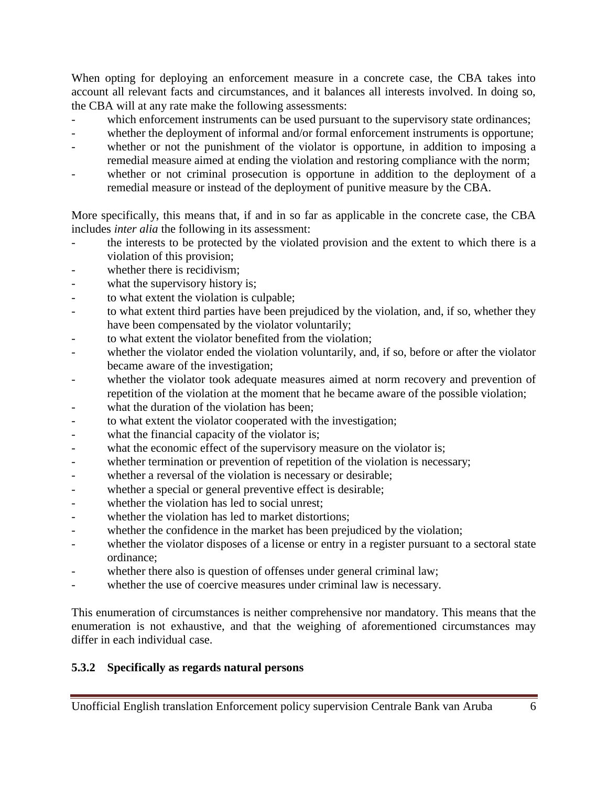When opting for deploying an enforcement measure in a concrete case, the CBA takes into account all relevant facts and circumstances, and it balances all interests involved. In doing so, the CBA will at any rate make the following assessments:

- which enforcement instruments can be used pursuant to the supervisory state ordinances;
- whether the deployment of informal and/or formal enforcement instruments is opportune;
- whether or not the punishment of the violator is opportune, in addition to imposing a remedial measure aimed at ending the violation and restoring compliance with the norm;
- whether or not criminal prosecution is opportune in addition to the deployment of a remedial measure or instead of the deployment of punitive measure by the CBA.

More specifically, this means that, if and in so far as applicable in the concrete case, the CBA includes *inter alia* the following in its assessment:

- the interests to be protected by the violated provision and the extent to which there is a violation of this provision;
- whether there is recidivism:
- what the supervisory history is;
- to what extent the violation is culpable;
- to what extent third parties have been prejudiced by the violation, and, if so, whether they have been compensated by the violator voluntarily;
- to what extent the violator benefited from the violation:
- whether the violator ended the violation voluntarily, and, if so, before or after the violator became aware of the investigation;
- whether the violator took adequate measures aimed at norm recovery and prevention of repetition of the violation at the moment that he became aware of the possible violation;
- what the duration of the violation has been;
- to what extent the violator cooperated with the investigation;
- what the financial capacity of the violator is;
- what the economic effect of the supervisory measure on the violator is;
- whether termination or prevention of repetition of the violation is necessary;
- whether a reversal of the violation is necessary or desirable;
- whether a special or general preventive effect is desirable;
- whether the violation has led to social unrest:
- whether the violation has led to market distortions;
- whether the confidence in the market has been prejudiced by the violation;
- whether the violator disposes of a license or entry in a register pursuant to a sectoral state ordinance;
- whether there also is question of offenses under general criminal law;
- whether the use of coercive measures under criminal law is necessary.

This enumeration of circumstances is neither comprehensive nor mandatory. This means that the enumeration is not exhaustive, and that the weighing of aforementioned circumstances may differ in each individual case.

# **5.3.2 Specifically as regards natural persons**

Unofficial English translation Enforcement policy supervision Centrale Bank van Aruba 6